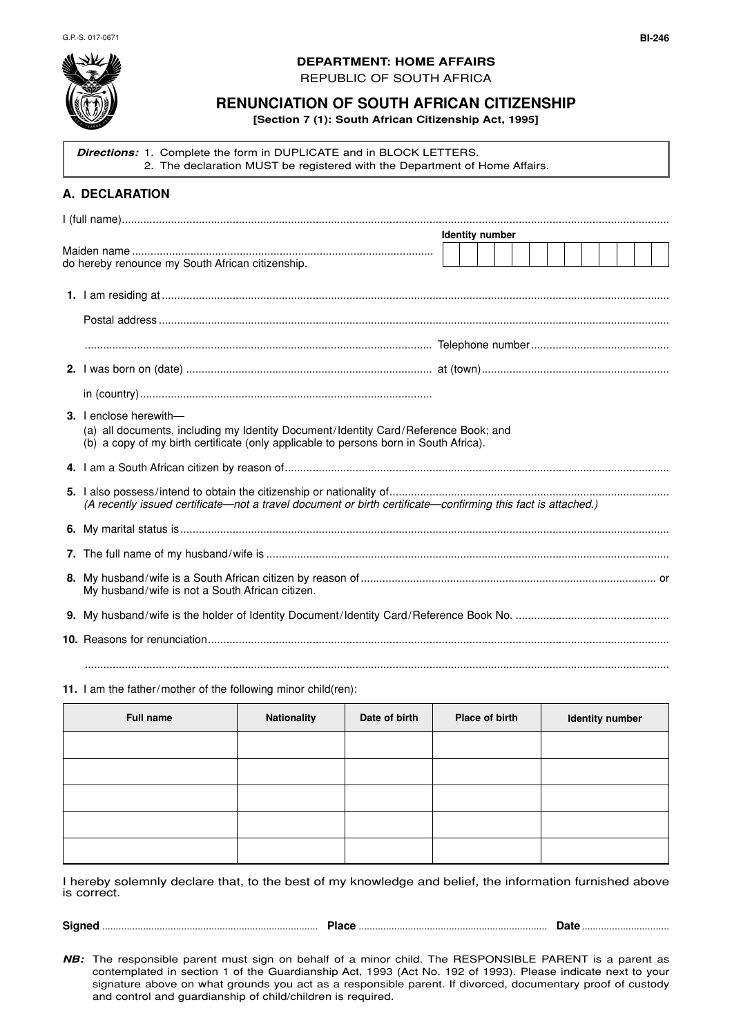

## **DEPARTMENT: HOME AFFAIRS**

REPUBLIC OF SOUTH AFRICA

## **RENUNCIATION OF SOUTH AFRICAN CITIZENSHIP**

**[Section 7 (1): South African Citizenship Act, 1995]**

**Directions:** 1. Complete the form in DUPLICATE and in BLOCK LETTERS. 2. The declaration MUST be registered with the Department of Home Affairs. **A. DECLARATION** I (full name).................................................................................................................................................................................. Maiden name .................................................................................................. do hereby renounce my South African citizenship. **1.** I am residing at ..................................................................................................................................................................... Postal address ...................................................................................................................................................................... ................................................................................................................. Telephone number............................................. **2.** I was born on (date) ................................................................................ at (town)............................................................. in (country)............................................................................................... **3.** I enclose herewith— (a) all documents, including my Identity Document/Identity Card/Reference Book; and (b) a copy of my birth certificate (only applicable to persons born in South Africa). **4.** I am a South African citizen by reason of............................................................................................................................. **5.** I also possess/intend to obtain the citizenship or nationality of........................................................................................... (A recently issued certificate—not a travel document or birth certificate—confirming this fact is attached.) **6.** My marital status is............................................................................................................................................................... **7.** The full name of my husband/wife is ................................................................................................................................... **8.** My husband/wife is a South African citizen by reason of ................................................................................................ or My husband/wife is not a South African citizen. **9.** My husband/wife is the holder of Identity Document/Identity Card/Reference Book No. .................................................. **10.** Reasons for renunciation...................................................................................................................................................... .............................................................................................................................................................................................. **Identity number**

## **11.** I am the father/mother of the following minor child(ren):

| <b>Full name</b> | Nationality | Date of birth | Place of birth | Identity number |
|------------------|-------------|---------------|----------------|-----------------|
|                  |             |               |                |                 |
|                  |             |               |                |                 |
|                  |             |               |                |                 |
|                  |             |               |                |                 |
|                  |             |               |                |                 |

I hereby solemnly declare that, to the best of my knowledge and belief, the information furnished above is correct.

**NB:** The responsible parent must sign on behalf of a minor child. The RESPONSIBLE PARENT is a parent as contemplated in section 1 of the Guardianship Act, 1993 (Act No. 192 of 1993). Please indicate next to your signature above on what grounds you act as a responsible parent. If divorced, documentary proof of custody and control and guardianship of child/children is required.